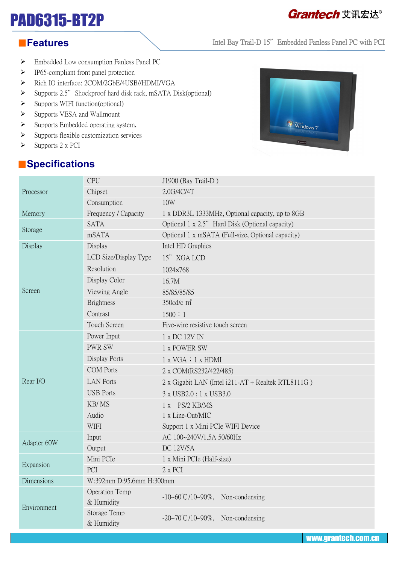# PAD6315-BT2P

#### ■**Features**

- Embedded Low consumption Fanless Panel PC
- $\triangleright$  IP65-compliant front panel protection
- > Rich IO interface: 2COM/2GbE/4USB//HDMI/VGA
- $\triangleright$  Supports 2.5" Shockproof hard disk rack, mSATA Disk(optional)
- $\triangleright$  Supports WIFI function(optional)
- $\triangleright$  Supports VESA and Wallmount
- $\triangleright$  Supports Embedded operating system,
- $\triangleright$  Supports flexible customization services
- $\triangleright$  Supports 2 x PCI

### ■**Specifications**



Intel Bay Trail-D 15" Embedded Fanless Panel PC with PCI

| Processor   | <b>CPU</b>                   | J1900 (Bay Trail-D)                                |
|-------------|------------------------------|----------------------------------------------------|
|             | Chipset                      | 2.0G/4C/4T                                         |
|             | Consumption                  | 10W                                                |
| Memory      | Frequency / Capacity         | 1 x DDR3L 1333MHz, Optional capacity, up to 8GB    |
| Storage     | <b>SATA</b>                  | Optional 1 x 2.5" Hard Disk (Optional capacity)    |
|             | mSATA                        | Optional 1 x mSATA (Full-size, Optional capacity)  |
| Display     | Display                      | Intel HD Graphics                                  |
| Screen      | LCD Size/Display Type        | 15" XGA LCD                                        |
|             | Resolution                   | 1024×768                                           |
|             | Display Color                | 16.7M                                              |
|             | Viewing Angle                | 85/85/85/85                                        |
|             | <b>Brightness</b>            | 350cd/c m <sup>2</sup>                             |
|             | Contrast                     | 1500 : 1                                           |
|             | Touch Screen                 | Five-wire resistive touch screen                   |
| Rear I/O    | Power Input                  | 1 x DC 12V IN                                      |
|             | <b>PWR SW</b>                | 1 x POWER SW                                       |
|             | Display Ports                | 1 x VGA : 1 x HDMI                                 |
|             | <b>COM</b> Ports             | 2 x COM(RS232/422/485)                             |
|             | <b>LAN Ports</b>             | 2 x Gigabit LAN (Intel i211-AT + Realtek RTL8111G) |
|             | <b>USB</b> Ports             | 3 x USB2.0; 1 x USB3.0                             |
|             | KB/MS                        | 1 x PS/2 KB/MS                                     |
|             | Audio                        | 1 x Line-Out/MIC                                   |
|             | <b>WIFI</b>                  | Support 1 x Mini PCIe WIFI Device                  |
| Adapter 60W | Input                        | AC 100~240V/1.5A 50/60Hz                           |
|             | Output                       | <b>DC 12V/5A</b>                                   |
| Expansion   | Mini PCIe                    | 1 x Mini PCIe (Half-size)                          |
|             | PCI                          | 2 x PCI                                            |
| Dimensions  | W:392mm D:95.6mm H:300mm     |                                                    |
| Environment | Operation Temp<br>& Humidity | $-10-60^{\circ}C/10-90\%$ , Non-condensing         |
|             | Storage Temp<br>& Humidity   | $-20\sim70^{\circ}$ C/10~90%, Non-condensing       |